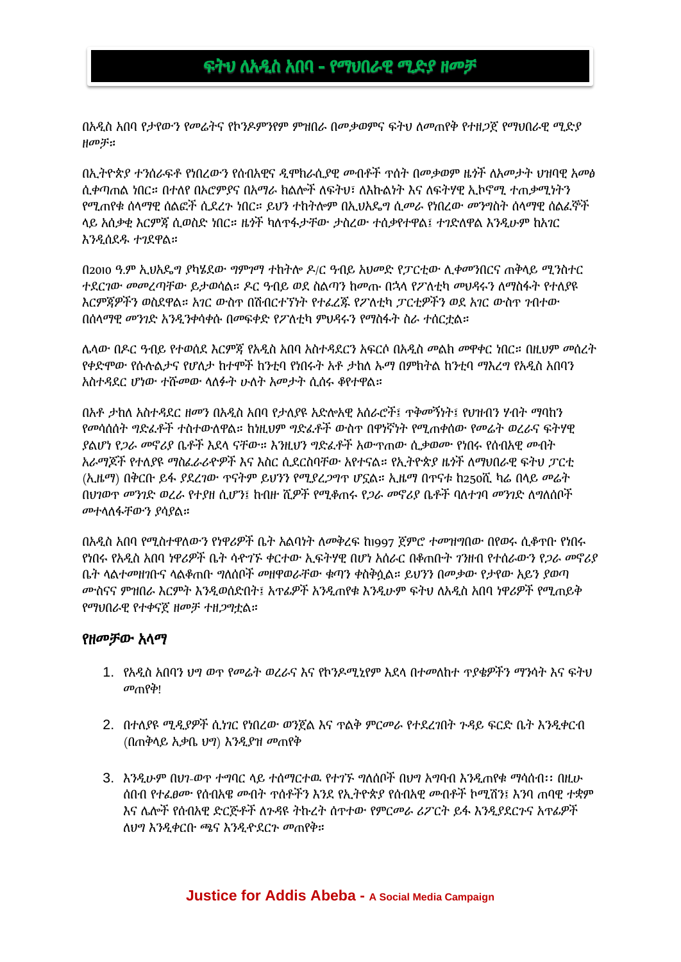# ፍትህ ለአዲስ አበባ - የማህበራዊ ሚድያ ዘመቻ

በአዲስ አበባ የታየውን የመሬትና የኮንዶምንየም ምዝበራ በመቃወምና ፍትህ ለመጠየቅ የተዘጋጀ የማህበራዊ ሚድያ ዘመቻ።

በኢትዮጵያ ተንሰራፍቶ የነበረውን የሰብአዊና ዲሞክራሲያዊ መብቶች ጥሰት በመቃወም ዜጎች ለአመታት ህዝባዊ አመፅ ሲቀጣጠል ነበር። በተለየ በኦሮምያና በአማራ ክልሎች ለፍትህ፣ ለእኩልነት እና ለፍትሃዊ ኢኮኖሚ ተጠቃሚነትን የሚጠየቁ ሰላማዊ ሰልፎች ሲደረጉ ነበር። ይህን ተከትሎም በኢህአዴግ ሲመራ የነበረው መንግስት ሰላማዊ ሰልፈኞች ላይ አሰቃቂ እርምጃ ሲወስድ ነበር። ዜጎች ካለጥፋታቸው ታስረው ተሰቃየተዋል፤ ተገድለዋል እንዲሁም ከአገር እንዲሰደዱ ተገደዋል።

በ2010 ዓ.ም ኢህአዴግ ያካሄደው ግምገማ ተከትሎ ዶ/ር ዓብይ አህመድ የፓርቲው ሊቀመንበርና ጠቅላይ ሚንስተር ተደርገው መመረጣቸው ይታወሳል። ዶር ዓብይ ወደ ስልጣን ከመጡ በኋላ የፖለቲካ መህዳሩን ለማስፋት የተለያዩ እርምጃዎችን ወስደዋል። አገር ውስጥ በሽብርተኘነት የተፈረጁ የፖለቲካ ፓርቲዎችን ወደ አገር ውስጥ ገብተው በሰላማዊ መንገድ አንዲንቀሳቀሱ በመፍቀድ የፖለቲካ ምህዳሩን የማስፋት ስራ ተሰርቷል።

ሌላው በዶር ዓብይ የተወሰደ እርምጃ የአዲስ አበባ አስተዳደርን አፍርሶ በአዲስ መልክ መዋቀር ነበር። በዚህም መሰረት የቀድሞው የሱሉልታና የሆለታ ከተሞች ከንቲባ የነበሩት አቶ ታከለ ኡማ በምክትል ከንቲባ ማእረግ የአዲስ አበባን አስተዳደር ሆነው ተሹመው ላለፉት ሁለት አመታት ሲሰሩ ቆየተዋል።

በአቶ ታከለ አስተዳደር ዘመን በአዲስ አበባ የታለያዩ አድሎአዊ አሰራሮች፤ ጥቅመኝነት፤ የህዝብን ሃብት ማባከን የመሳሰሰት ግድፈቶች ተስተውለዋል። ከነዚህም ግድፈቶች ውስጥ በዋነኛነት የሚጠቀሰው የመሬት ወረራና ፍትሃዊ ያልሆነ የጋራ መኖሪያ ቤቶች እደላ ናቸው። እንዚህን ግድፈቶች አውጥጠው ሲቃወሙ የነበሩ የሰብአዊ መብት አራማጆች የተለያዩ ማስፈራሪዯዎች እና እስር ሲደርስባቸው አየተናል። የኢትዮጵያ ዜጎች ለማህበራዊ ፍትህ ፓርቲ (ኢዜማ) በቅርቡ ይፋ ያደረገው ጥናትም ይህንን የሚያረጋግጥ ሆኗል። ኢዜማ በጥናቱ ከ250ሺ ካሬ በላይ መሬት በህገወጥ መንገድ ወረራ የተያዘ ሲሆን፤ ከብዙ ሺዎች የሚቆጠሩ የጋራ መኖሪያ ቤቶች ባለተገባ መንገድ ለግለሰቦች መተላለፋቸውን ያሳያል።

በአዲስ አበባ የሚስተዋለውን የነዋሪዎች ቤት አልባነት ለመቅረፍ ከ1997 ጀምሮ ተመዝግበው በየወሩ ሲቆጥቡ የነበሩ የነበሩ የአዲስ አበባ ነዋሪዎች ቤት ሳዯገኙ ቀርተው ኢፍትሃዊ በሆነ አሰራር በቆጠቡት ገንዘብ የተሰራውን የጋራ መኖሪያ ቤት ላልተመዘገቡና ላልቆጠቡ ግለሰቦች መዘዋወራቸው ቁጣን ቀስቅሷል። ይህንን በመቃው የታየው አይን ያወጣ ሙስናና ምዝበራ እርምት እንዲወሰድበት፤ አጥፊዎች አንዲጠየቁ እንዲሁም ፍትህ ለአዲስ አበባ ነዋሪዎች የሚጠይቅ የማህበራዊ የተቀናጀ ዘመቻ ተዘጋግቷል።

### የዘመቻው አላማ

- 1. የአዲስ አበባን ህግ ወጥ የመሬት ወረራና እና የኮንዶሚኒየም እደላ በተመለከተ ጥያቄዎችን ማንሳት እና ፍትህ መጠየቅ!
- 2. በተለያዩ ሚዲያዎች ሲነገር የነበረው ወንጀል እና ጥልቅ ምርመራ የተደረገበት ጉዳይ ፍርድ ቤት እንዲቀርብ (በጠቅላይ አቃቤ ህግ) እንዲያዝ መጠየቅ
- 3. እንዲሁም በህገ-ወጥ ተግባር ላይ ተሰማርተዉ የተገኙ ግለሰቦች በህግ አግባብ እንዲጠየቁ ማሳሰብ፡፡ በዚሁ ሰበብ የተፈፀሙ የሰብአዌ መብት ጥሰቶችን እንደ የኢትዮጵያ የሰብአዊ መብቶች ኮሚሽን፤ እንባ ጠባዊ ተቋም እና ሌሎች የሰብአዊ ድርጅቶች ለጉዳዩ ትኩረት ሰጥተው የምርመራ ሪፖርት ይፋ እንዲያደርጉና አጥፊዎች ለህግ እንዲቀርቡ ጫና እንዲዯደርጉ መጠየቅ።